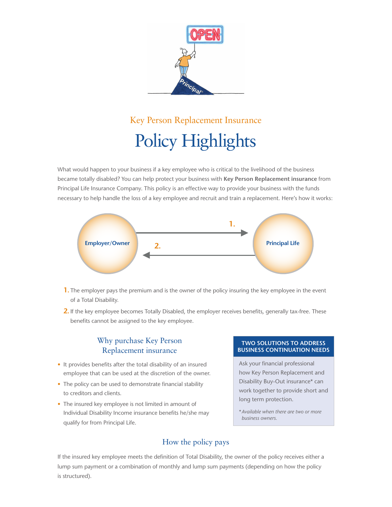

# Key Person Replacement Insurance Policy Highlights

What would happen to your business if a key employee who is critical to the livelihood of the business became totally disabled? You can help protect your business with **Key Person Replacement insurance** from Principal Life Insurance Company. This policy is an effective way to provide your business with the funds necessary to help handle the loss of a key employee and recruit and train a replacement. Here's how it works:



- **1.** The employer pays the premium and is the owner of the policy insuring the key employee in the event of a Total Disability.
- **2.** If the key employee becomes Totally Disabled, the employer receives benefits, generally tax-free. These benefits cannot be assigned to the key employee.

## Why purchase Key Person Replacement insurance

- It provides benefits after the total disability of an insured employee that can be used at the discretion of the owner.
- The policy can be used to demonstrate financial stability to creditors and clients.
- The insured key employee is not limited in amount of Individual Disability Income insurance benefits he/she may qualify for from Principal Life.

#### **Two Solutions to Address Business continuation Needs**

Ask your financial professional how Key Person Replacement and Disability Buy-Out insurance\* can work together to provide short and long term protection.

\**Available when there are two or more business owners.*

# How the policy pays

If the insured key employee meets the definition of Total Disability, the owner of the policy receives either a lump sum payment or a combination of monthly and lump sum payments (depending on how the policy is structured).